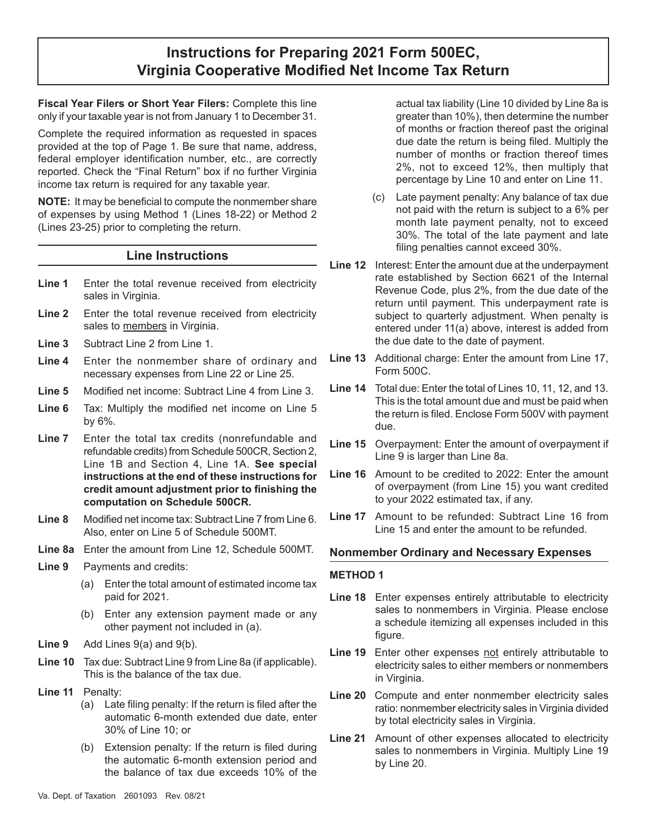# **Instructions for Preparing 2021 Form 500EC, Virginia Cooperative Modified Net Income Tax Return**

**Fiscal Year Filers or Short Year Filers:** Complete this line only if your taxable year is not from January 1 to December 31.

Complete the required information as requested in spaces provided at the top of Page 1. Be sure that name, address, federal employer identification number, etc., are correctly reported. Check the "Final Return" box if no further Virginia income tax return is required for any taxable year.

**NOTE:** It may be beneficial to compute the nonmember share of expenses by using Method 1 (Lines 18-22) or Method 2 (Lines 23-25) prior to completing the return.

## **Line Instructions**

- **Line 1** Enter the total revenue received from electricity sales in Virginia.
- **Line 2** Enter the total revenue received from electricity sales to members in Virginia.
- **Line 3** Subtract Line 2 from Line 1.
- **Line 4** Enter the nonmember share of ordinary and necessary expenses from Line 22 or Line 25.
- **Line 5** Modified net income: Subtract Line 4 from Line 3.
- **Line 6** Tax: Multiply the modified net income on Line 5 by 6%.
- **Line 7** Enter the total tax credits (nonrefundable and refundable credits) from Schedule 500CR, Section 2, Line 1B and Section 4, Line 1A. **See special instructions at the end of these instructions for credit amount adjustment prior to finishing the computation on Schedule 500CR.**
- **Line 8** Modified net income tax: Subtract Line 7 from Line 6. Also, enter on Line 5 of Schedule 500MT.
- **Line 8a** Enter the amount from Line 12, Schedule 500MT.
- **Line 9** Payments and credits:
	- (a) Enter the total amount of estimated income tax paid for 2021.
	- (b) Enter any extension payment made or any other payment not included in (a).
- **Line 9** Add Lines 9(a) and 9(b).
- **Line 10** Tax due: Subtract Line 9 from Line 8a (if applicable). This is the balance of the tax due.
- **Line 11** Penalty:
	- (a) Late filing penalty: If the return is filed after the automatic 6-month extended due date, enter 30% of Line 10; or
	- (b) Extension penalty: If the return is filed during the automatic 6-month extension period and the balance of tax due exceeds 10% of the

actual tax liability (Line 10 divided by Line 8a is greater than 10%), then determine the number of months or fraction thereof past the original due date the return is being filed. Multiply the number of months or fraction thereof times 2%, not to exceed 12%, then multiply that percentage by Line 10 and enter on Line 11.

- (c) Late payment penalty: Any balance of tax due not paid with the return is subject to a 6% per month late payment penalty, not to exceed 30%. The total of the late payment and late filing penalties cannot exceed 30%.
- **Line 12** Interest: Enter the amount due at the underpayment rate established by Section 6621 of the Internal Revenue Code, plus 2%, from the due date of the return until payment. This underpayment rate is subject to quarterly adjustment. When penalty is entered under 11(a) above, interest is added from the due date to the date of payment.
- **Line 13** Additional charge: Enter the amount from Line 17, Form 500C.
- **Line 14** Total due: Enter the total of Lines 10, 11, 12, and 13. This is the total amount due and must be paid when the return is filed. Enclose Form 500V with payment due.
- **Line 15** Overpayment: Enter the amount of overpayment if Line 9 is larger than Line 8a.
- **Line 16** Amount to be credited to 2022: Enter the amount of overpayment (from Line 15) you want credited to your 2022 estimated tax, if any.
- **Line 17** Amount to be refunded: Subtract Line 16 from Line 15 and enter the amount to be refunded.

### **Nonmember Ordinary and Necessary Expenses**

#### **METHOD 1**

- **Line 18** Enter expenses entirely attributable to electricity sales to nonmembers in Virginia. Please enclose a schedule itemizing all expenses included in this figure.
- **Line 19** Enter other expenses not entirely attributable to electricity sales to either members or nonmembers in Virginia.
- **Line 20** Compute and enter nonmember electricity sales ratio: nonmember electricity sales in Virginia divided by total electricity sales in Virginia.
- **Line 21** Amount of other expenses allocated to electricity sales to nonmembers in Virginia. Multiply Line 19 by Line 20.